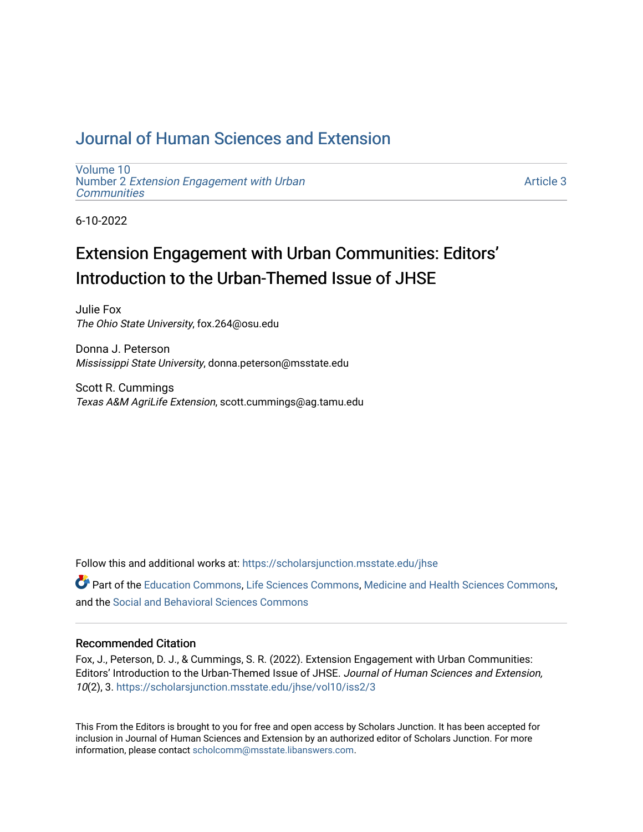## [Journal of Human Sciences and Extension](https://scholarsjunction.msstate.edu/jhse)

[Volume 10](https://scholarsjunction.msstate.edu/jhse/vol10) Number 2 [Extension Engagement with Urban](https://scholarsjunction.msstate.edu/jhse/vol10/iss2) **[Communities](https://scholarsjunction.msstate.edu/jhse/vol10/iss2)** 

[Article 3](https://scholarsjunction.msstate.edu/jhse/vol10/iss2/3) 

6-10-2022

# Extension Engagement with Urban Communities: Editors' Introduction to the Urban-Themed Issue of JHSE

Julie Fox The Ohio State University, fox.264@osu.edu

Donna J. Peterson Mississippi State University, donna.peterson@msstate.edu

Scott R. Cummings Texas A&M AgriLife Extension, scott.cummings@ag.tamu.edu

Follow this and additional works at: [https://scholarsjunction.msstate.edu/jhse](https://scholarsjunction.msstate.edu/jhse?utm_source=scholarsjunction.msstate.edu%2Fjhse%2Fvol10%2Fiss2%2F3&utm_medium=PDF&utm_campaign=PDFCoverPages)

Part of the [Education Commons](https://network.bepress.com/hgg/discipline/784?utm_source=scholarsjunction.msstate.edu%2Fjhse%2Fvol10%2Fiss2%2F3&utm_medium=PDF&utm_campaign=PDFCoverPages), [Life Sciences Commons](https://network.bepress.com/hgg/discipline/1016?utm_source=scholarsjunction.msstate.edu%2Fjhse%2Fvol10%2Fiss2%2F3&utm_medium=PDF&utm_campaign=PDFCoverPages), [Medicine and Health Sciences Commons](https://network.bepress.com/hgg/discipline/648?utm_source=scholarsjunction.msstate.edu%2Fjhse%2Fvol10%2Fiss2%2F3&utm_medium=PDF&utm_campaign=PDFCoverPages), and the [Social and Behavioral Sciences Commons](https://network.bepress.com/hgg/discipline/316?utm_source=scholarsjunction.msstate.edu%2Fjhse%2Fvol10%2Fiss2%2F3&utm_medium=PDF&utm_campaign=PDFCoverPages) 

#### Recommended Citation

Fox, J., Peterson, D. J., & Cummings, S. R. (2022). Extension Engagement with Urban Communities: Editors' Introduction to the Urban-Themed Issue of JHSE. Journal of Human Sciences and Extension, 10(2), 3. [https://scholarsjunction.msstate.edu/jhse/vol10/iss2/3](https://scholarsjunction.msstate.edu/jhse/vol10/iss2/3?utm_source=scholarsjunction.msstate.edu%2Fjhse%2Fvol10%2Fiss2%2F3&utm_medium=PDF&utm_campaign=PDFCoverPages) 

This From the Editors is brought to you for free and open access by Scholars Junction. It has been accepted for inclusion in Journal of Human Sciences and Extension by an authorized editor of Scholars Junction. For more information, please contact [scholcomm@msstate.libanswers.com](mailto:scholcomm@msstate.libanswers.com).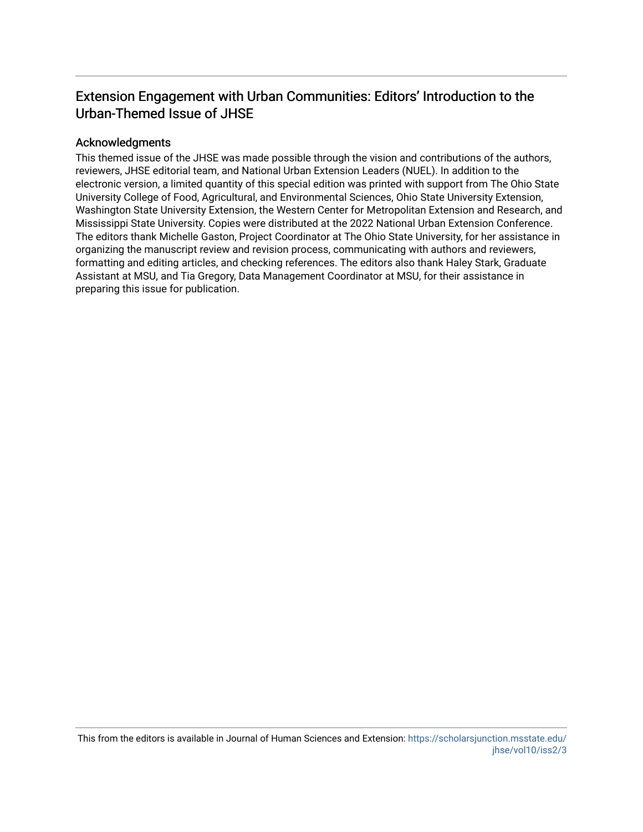### Extension Engagement with Urban Communities: Editors' Introduction to the Urban-Themed Issue of JHSE

#### Acknowledgments

This themed issue of the JHSE was made possible through the vision and contributions of the authors, reviewers, JHSE editorial team, and National Urban Extension Leaders (NUEL). In addition to the electronic version, a limited quantity of this special edition was printed with support from The Ohio State University College of Food, Agricultural, and Environmental Sciences, Ohio State University Extension, Washington State University Extension, the Western Center for Metropolitan Extension and Research, and Mississippi State University. Copies were distributed at the 2022 National Urban Extension Conference. The editors thank Michelle Gaston, Project Coordinator at The Ohio State University, for her assistance in organizing the manuscript review and revision process, communicating with authors and reviewers, formatting and editing articles, and checking references. The editors also thank Haley Stark, Graduate Assistant at MSU, and Tia Gregory, Data Management Coordinator at MSU, for their assistance in preparing this issue for publication.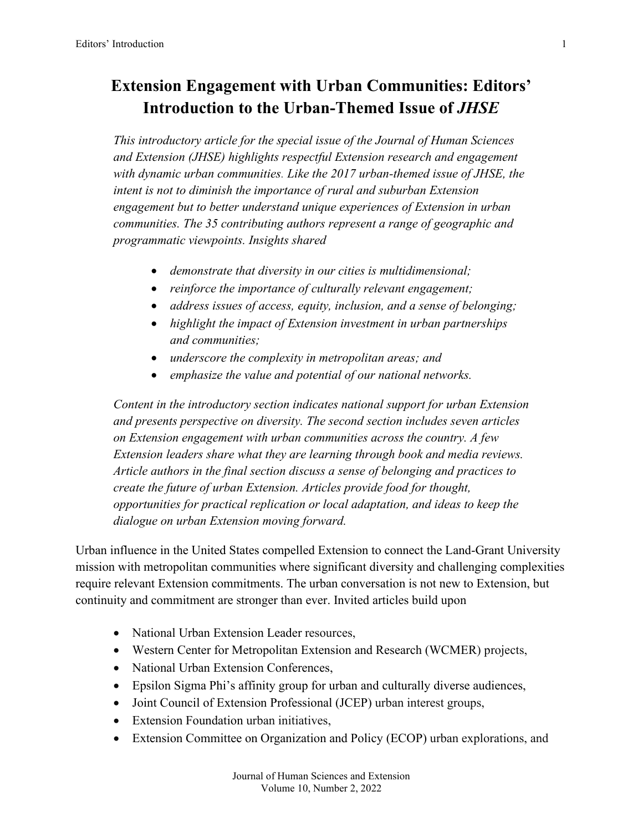## **Extension Engagement with Urban Communities: Editors' Introduction to the Urban-Themed Issue of** *JHSE*

*This introductory article for the special issue of the Journal of Human Sciences and Extension (JHSE) highlights respectful Extension research and engagement with dynamic urban communities. Like the 2017 urban-themed issue of JHSE, the intent is not to diminish the importance of rural and suburban Extension engagement but to better understand unique experiences of Extension in urban communities. The 35 contributing authors represent a range of geographic and programmatic viewpoints. Insights shared*

- *demonstrate that diversity in our cities is multidimensional;*
- *reinforce the importance of culturally relevant engagement;*
- *address issues of access, equity, inclusion, and a sense of belonging;*
- *highlight the impact of Extension investment in urban partnerships and communities;*
- *underscore the complexity in metropolitan areas; and*
- *emphasize the value and potential of our national networks.*

*Content in the introductory section indicates national support for urban Extension and presents perspective on diversity. The second section includes seven articles on Extension engagement with urban communities across the country. A few Extension leaders share what they are learning through book and media reviews. Article authors in the final section discuss a sense of belonging and practices to create the future of urban Extension. Articles provide food for thought, opportunities for practical replication or local adaptation, and ideas to keep the dialogue on urban Extension moving forward.*

Urban influence in the United States compelled Extension to connect the Land-Grant University mission with metropolitan communities where significant diversity and challenging complexities require relevant Extension commitments. The urban conversation is not new to Extension, but continuity and commitment are stronger than ever. Invited articles build upon

- National Urban Extension Leader resources,
- Western Center for Metropolitan Extension and Research (WCMER) projects,
- National Urban Extension Conferences,
- Epsilon Sigma Phi's affinity group for urban and culturally diverse audiences,
- Joint Council of Extension Professional (JCEP) urban interest groups,
- Extension Foundation urban initiatives,
- Extension Committee on Organization and Policy (ECOP) urban explorations, and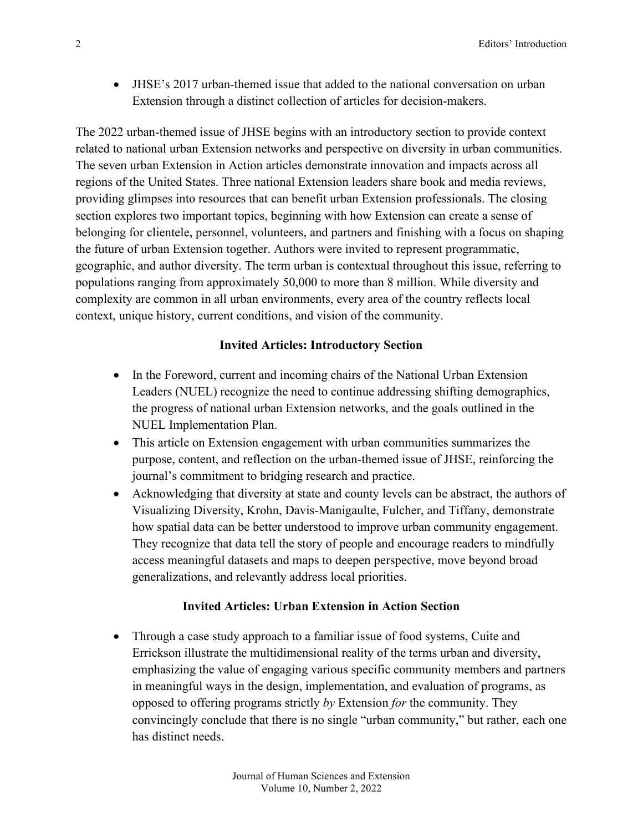• JHSE's 2017 urban-themed issue that added to the national conversation on urban Extension through a distinct collection of articles for decision-makers.

The 2022 urban-themed issue of JHSE begins with an introductory section to provide context related to national urban Extension networks and perspective on diversity in urban communities. The seven urban Extension in Action articles demonstrate innovation and impacts across all regions of the United States. Three national Extension leaders share book and media reviews, providing glimpses into resources that can benefit urban Extension professionals. The closing section explores two important topics, beginning with how Extension can create a sense of belonging for clientele, personnel, volunteers, and partners and finishing with a focus on shaping the future of urban Extension together. Authors were invited to represent programmatic, geographic, and author diversity. The term urban is contextual throughout this issue, referring to populations ranging from approximately 50,000 to more than 8 million. While diversity and complexity are common in all urban environments, every area of the country reflects local context, unique history, current conditions, and vision of the community.

#### **Invited Articles: Introductory Section**

- In the Foreword, current and incoming chairs of the National Urban Extension Leaders (NUEL) recognize the need to continue addressing shifting demographics, the progress of national urban Extension networks, and the goals outlined in the NUEL Implementation Plan.
- This article on Extension engagement with urban communities summarizes the purpose, content, and reflection on the urban-themed issue of JHSE, reinforcing the journal's commitment to bridging research and practice.
- Acknowledging that diversity at state and county levels can be abstract, the authors of Visualizing Diversity, Krohn, Davis-Manigaulte, Fulcher, and Tiffany, demonstrate how spatial data can be better understood to improve urban community engagement. They recognize that data tell the story of people and encourage readers to mindfully access meaningful datasets and maps to deepen perspective, move beyond broad generalizations, and relevantly address local priorities.

#### **Invited Articles: Urban Extension in Action Section**

• Through a case study approach to a familiar issue of food systems, Cuite and Errickson illustrate the multidimensional reality of the terms urban and diversity, emphasizing the value of engaging various specific community members and partners in meaningful ways in the design, implementation, and evaluation of programs, as opposed to offering programs strictly *by* Extension *for* the community. They convincingly conclude that there is no single "urban community," but rather, each one has distinct needs.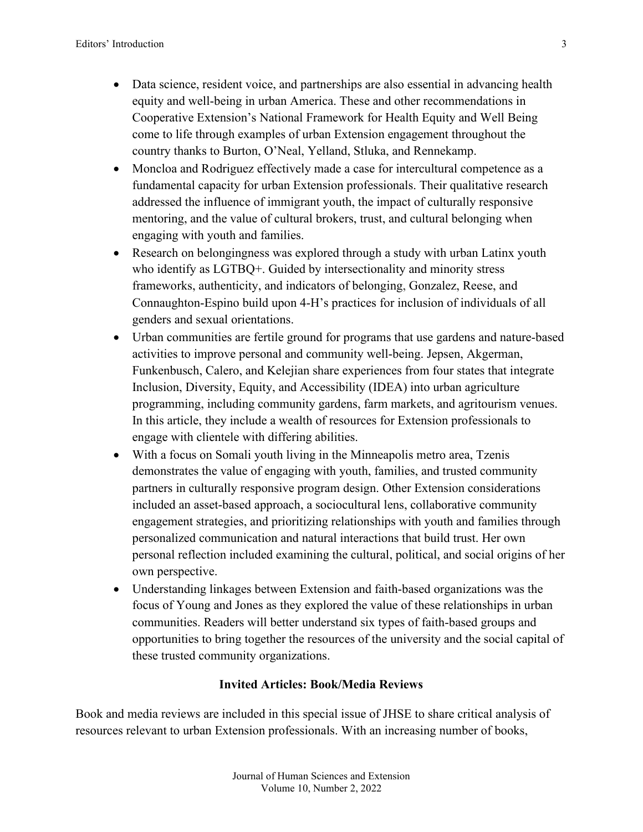- Data science, resident voice, and partnerships are also essential in advancing health equity and well-being in urban America. These and other recommendations in Cooperative Extension's National Framework for Health Equity and Well Being come to life through examples of urban Extension engagement throughout the country thanks to Burton, O'Neal, Yelland, Stluka, and Rennekamp.
- Moncloa and Rodriguez effectively made a case for intercultural competence as a fundamental capacity for urban Extension professionals. Their qualitative research addressed the influence of immigrant youth, the impact of culturally responsive mentoring, and the value of cultural brokers, trust, and cultural belonging when engaging with youth and families.
- Research on belongingness was explored through a study with urban Latinx youth who identify as LGTBQ+. Guided by intersectionality and minority stress frameworks, authenticity, and indicators of belonging, Gonzalez, Reese, and Connaughton-Espino build upon 4-H's practices for inclusion of individuals of all genders and sexual orientations.
- Urban communities are fertile ground for programs that use gardens and nature-based activities to improve personal and community well-being. Jepsen, Akgerman, Funkenbusch, Calero, and Kelejian share experiences from four states that integrate Inclusion, Diversity, Equity, and Accessibility (IDEA) into urban agriculture programming, including community gardens, farm markets, and agritourism venues. In this article, they include a wealth of resources for Extension professionals to engage with clientele with differing abilities.
- With a focus on Somali youth living in the Minneapolis metro area, Tzenis demonstrates the value of engaging with youth, families, and trusted community partners in culturally responsive program design. Other Extension considerations included an asset-based approach, a sociocultural lens, collaborative community engagement strategies, and prioritizing relationships with youth and families through personalized communication and natural interactions that build trust. Her own personal reflection included examining the cultural, political, and social origins of her own perspective.
- Understanding linkages between Extension and faith-based organizations was the focus of Young and Jones as they explored the value of these relationships in urban communities. Readers will better understand six types of faith-based groups and opportunities to bring together the resources of the university and the social capital of these trusted community organizations.

#### **Invited Articles: Book/Media Reviews**

Book and media reviews are included in this special issue of JHSE to share critical analysis of resources relevant to urban Extension professionals. With an increasing number of books,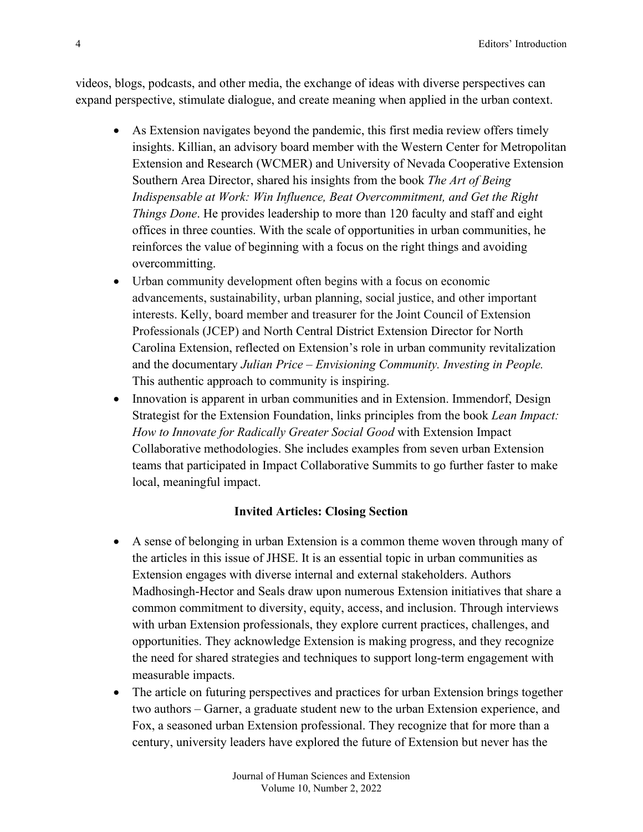videos, blogs, podcasts, and other media, the exchange of ideas with diverse perspectives can expand perspective, stimulate dialogue, and create meaning when applied in the urban context.

- As Extension navigates beyond the pandemic, this first media review offers timely insights. Killian, an advisory board member with the Western Center for Metropolitan Extension and Research (WCMER) and University of Nevada Cooperative Extension Southern Area Director, shared his insights from the book *The Art of Being Indispensable at Work: Win Influence, Beat Overcommitment, and Get the Right Things Done*. He provides leadership to more than 120 faculty and staff and eight offices in three counties. With the scale of opportunities in urban communities, he reinforces the value of beginning with a focus on the right things and avoiding overcommitting.
- Urban community development often begins with a focus on economic advancements, sustainability, urban planning, social justice, and other important interests. Kelly, board member and treasurer for the Joint Council of Extension Professionals (JCEP) and North Central District Extension Director for North Carolina Extension, reflected on Extension's role in urban community revitalization and the documentary *Julian Price – Envisioning Community. Investing in People.* This authentic approach to community is inspiring.
- Innovation is apparent in urban communities and in Extension. Immendorf, Design Strategist for the Extension Foundation, links principles from the book *Lean Impact: How to Innovate for Radically Greater Social Good* with Extension Impact Collaborative methodologies. She includes examples from seven urban Extension teams that participated in Impact Collaborative Summits to go further faster to make local, meaningful impact.

#### **Invited Articles: Closing Section**

- A sense of belonging in urban Extension is a common theme woven through many of the articles in this issue of JHSE. It is an essential topic in urban communities as Extension engages with diverse internal and external stakeholders. Authors Madhosingh-Hector and Seals draw upon numerous Extension initiatives that share a common commitment to diversity, equity, access, and inclusion. Through interviews with urban Extension professionals, they explore current practices, challenges, and opportunities. They acknowledge Extension is making progress, and they recognize the need for shared strategies and techniques to support long-term engagement with measurable impacts.
- The article on futuring perspectives and practices for urban Extension brings together two authors – Garner, a graduate student new to the urban Extension experience, and Fox, a seasoned urban Extension professional. They recognize that for more than a century, university leaders have explored the future of Extension but never has the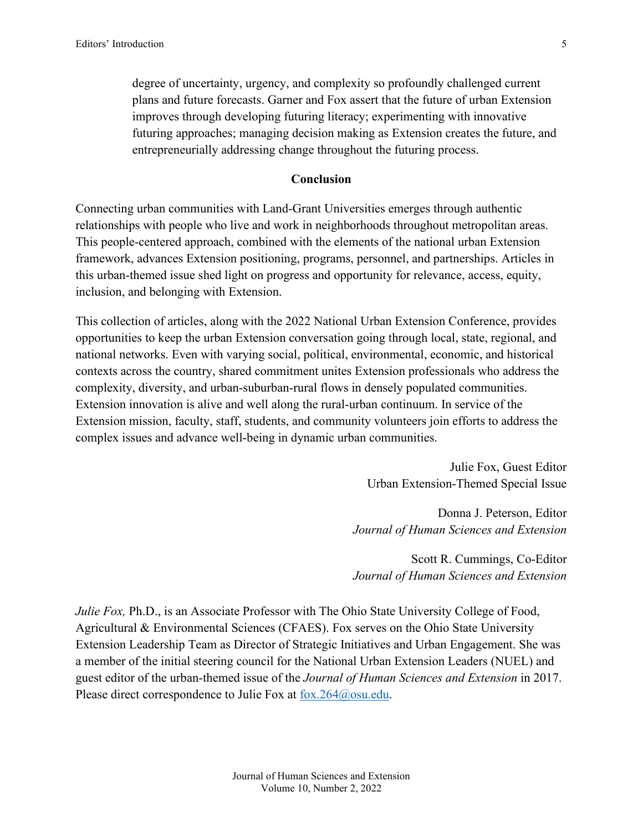degree of uncertainty, urgency, and complexity so profoundly challenged current plans and future forecasts. Garner and Fox assert that the future of urban Extension improves through developing futuring literacy; experimenting with innovative futuring approaches; managing decision making as Extension creates the future, and entrepreneurially addressing change throughout the futuring process.

#### **Conclusion**

Connecting urban communities with Land-Grant Universities emerges through authentic relationships with people who live and work in neighborhoods throughout metropolitan areas. This people-centered approach, combined with the elements of the national urban Extension framework, advances Extension positioning, programs, personnel, and partnerships. Articles in this urban-themed issue shed light on progress and opportunity for relevance, access, equity, inclusion, and belonging with Extension.

This collection of articles, along with the 2022 National Urban Extension Conference, provides opportunities to keep the urban Extension conversation going through local, state, regional, and national networks. Even with varying social, political, environmental, economic, and historical contexts across the country, shared commitment unites Extension professionals who address the complexity, diversity, and urban-suburban-rural flows in densely populated communities. Extension innovation is alive and well along the rural-urban continuum. In service of the Extension mission, faculty, staff, students, and community volunteers join efforts to address the complex issues and advance well-being in dynamic urban communities.

> Julie Fox, Guest Editor Urban Extension-Themed Special Issue

Donna J. Peterson, Editor *Journal of Human Sciences and Extension*

Scott R. Cummings, Co-Editor *Journal of Human Sciences and Extension*

*Julie Fox, Ph.D., is an Associate Professor with The Ohio State University College of Food,* Agricultural & Environmental Sciences (CFAES). Fox serves on the Ohio State University Extension Leadership Team as Director of Strategic Initiatives and Urban Engagement. She was a member of the initial steering council for the National Urban Extension Leaders (NUEL) and guest editor of the urban-themed issue of the *Journal of Human Sciences and Extension* in 2017. Please direct correspondence to Julie Fox at fox.264@osu.edu.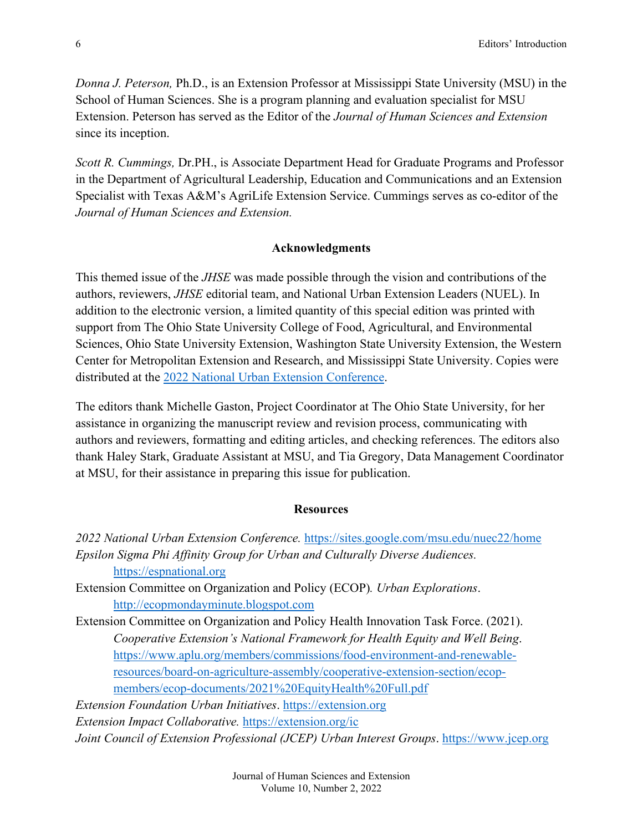*Donna J. Peterson,* Ph.D., is an Extension Professor at Mississippi State University (MSU) in the School of Human Sciences. She is a program planning and evaluation specialist for MSU Extension. Peterson has served as the Editor of the *Journal of Human Sciences and Extension*  since its inception.

*Scott R. Cummings,* Dr.PH., is Associate Department Head for Graduate Programs and Professor in the Department of Agricultural Leadership, Education and Communications and an Extension Specialist with Texas A&M's AgriLife Extension Service. Cummings serves as co-editor of the *Journal of Human Sciences and Extension.*

#### **Acknowledgments**

This themed issue of the *JHSE* was made possible through the vision and contributions of the authors, reviewers, *JHSE* editorial team, and National Urban Extension Leaders (NUEL). In addition to the electronic version, a limited quantity of this special edition was printed with support from The Ohio State University College of Food, Agricultural, and Environmental Sciences, Ohio State University Extension, Washington State University Extension, the Western Center for Metropolitan Extension and Research, and Mississippi State University. Copies were distributed at the [2022 National Urban Extension Conference.](https://sites.google.com/msu.edu/nuec22/home)

The editors thank Michelle Gaston, Project Coordinator at The Ohio State University, for her assistance in organizing the manuscript review and revision process, communicating with authors and reviewers, formatting and editing articles, and checking references. The editors also thank Haley Stark, Graduate Assistant at MSU, and Tia Gregory, Data Management Coordinator at MSU, for their assistance in preparing this issue for publication.

#### **Resources**

*2022 National Urban Extension Conference.* <https://sites.google.com/msu.edu/nuec22/home> *Epsilon Sigma Phi Affinity Group for Urban and Culturally Diverse Audiences.*  [https://espnational.org](https://espnational.org/) Extension Committee on Organization and Policy (ECOP)*. Urban Explorations*. [http://ecopmondayminute.blogspot.com](http://ecopmondayminute.blogspot.com/) Extension Committee on Organization and Policy Health Innovation Task Force. (2021). *Cooperative Extension's National Framework for Health Equity and Well Being*. [https://www.aplu.org/members/commissions/food-environment-and-renewable](https://www.aplu.org/members/commissions/food-environment-and-renewable-resources/board-on-agriculture-assembly/cooperative-extension-section/ecop-members/ecop-documents/2021%20EquityHealth%20Full.pdf)[resources/board-on-agriculture-assembly/cooperative-extension-section/ecop](https://www.aplu.org/members/commissions/food-environment-and-renewable-resources/board-on-agriculture-assembly/cooperative-extension-section/ecop-members/ecop-documents/2021%20EquityHealth%20Full.pdf)[members/ecop-documents/2021%20EquityHealth%20Full.pdf](https://www.aplu.org/members/commissions/food-environment-and-renewable-resources/board-on-agriculture-assembly/cooperative-extension-section/ecop-members/ecop-documents/2021%20EquityHealth%20Full.pdf) *Extension Foundation Urban Initiatives*. [https://extension.org](https://extension.org/)

*Extension Impact Collaborative.* <https://extension.org/ic> *Joint Council of Extension Professional (JCEP) Urban Interest Groups*. [https://www.jcep.org](https://www.jcep.org/)